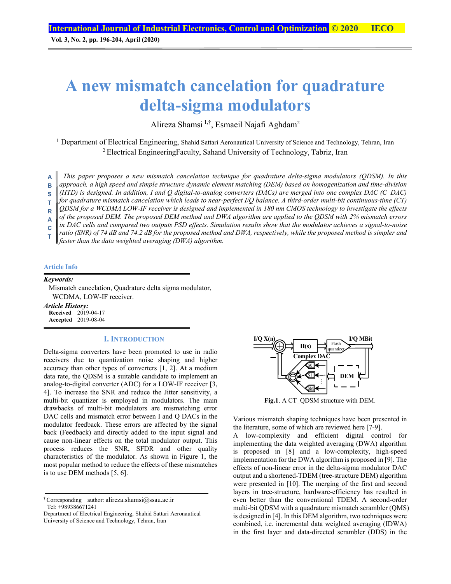**Vol. 3, No. 2, pp. 196-204, April (2020)**

# **A new mismatch cancelation for quadrature delta-sigma modulators**

Alireza Shamsi 1,†, Esmaeil Najafi Aghdam2

<sup>1</sup> Department of Electrical Engineering, Shahid Sattari Aeronautical University of Science and Technology, Tehran, Iran 2 Electrical EngineeringFaculty, Sahand University of Technology, Tabriz, Iran

*This paper proposes a new mismatch cancelation technique for quadrature delta-sigma modulators (QDSM). In this approach, a high speed and simple structure dynamic element matching (DEM) based on homogenization and time-division (HTD) is designed. In addition, I and Q digital-to-analog converters (DACs) are merged into one complex DAC (C\_DAC) for quadrature mismatch cancelation which leads to near-perfect I/Q balance. A third-order multi-bit continuous-time (CT) QDSM for a WCDMA LOW-IF receiver is designed and implemented in 180 nm CMOS technology to investigate the effects of the proposed DEM. The proposed DEM method and DWA algorithm are applied to the QDSM with 2% mismatch errors in DAC cells and compared two outputs PSD effects. Simulation results show that the modulator achieves a signal-to-noise ratio (SNR) of 74 dB and 74.2 dB for the proposed method and DWA, respectively, while the proposed method is simpler and*  **A B S T R A C T** 

*faster than the data weighted averaging (DWA) algorithm.*

#### **Article Info**

## *Keywords:*

Mismatch cancelation, Quadrature delta sigma modulator, WCDMA, LOW-IF receiver.

*Article History:*  **Received** 2019-04-17 **Accepted** 2019-08-04

## **I. INTRODUCTION**

Delta-sigma converters have been promoted to use in radio receivers due to quantization noise shaping and higher accuracy than other types of converters [1, 2]. At a medium data rate, the QDSM is a suitable candidate to implement an analog-to-digital converter (ADC) for a LOW-IF receiver [3, 4]. To increase the SNR and reduce the Jitter sensitivity, a multi-bit quantizer is employed in modulators. The main drawbacks of multi-bit modulators are mismatching error DAC cells and mismatch error between I and Q DACs in the modulator feedback. These errors are affected by the signal back (Feedback) and directly added to the input signal and cause non-linear effects on the total modulator output. This process reduces the SNR, SFDR and other quality characteristics of the modulator. As shown in Figure 1, the most popular method to reduce the effects of these mismatches is to use DEM methods [5, 6].

Department of Electrical Engineering, Shahid Sattari Aeronautical University of Science and Technology, Tehran, Iran



**Fig.1**. A CT\_QDSM structure with DEM.

Various mismatch shaping techniques have been presented in the literature, some of which are reviewed here [7-9].

A low-complexity and efficient digital control for implementing the data weighted averaging (DWA) algorithm is proposed in [8] and a low-complexity, high-speed implementation for the DWA algorithm is proposed in [9]. The effects of non-linear error in the delta-sigma modulator DAC output and a shortened-TDEM (tree-structure DEM) algorithm were presented in [10]. The merging of the first and second layers in tree-structure, hardware-efficiency has resulted in even better than the conventional TDEM. A second-order multi-bit QDSM with a quadrature mismatch scrambler (QMS) is designed in [4]. In this DEM algorithm, two techniques were combined, i.e. incremental data weighted averaging (IDWA) in the first layer and data-directed scrambler (DDS) in the

<sup>&</sup>lt;sup>†</sup> Corresponding author: alireza.shamsi $@$ ssau.ac.ir Tel: +989386671241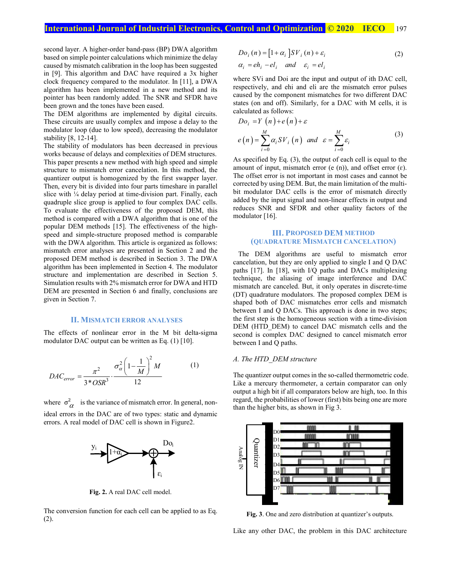# **International Journal of Industrial Electronics, Control and Optimization © 2020 IECO** 197

second layer. A higher-order band-pass (BP) DWA algorithm based on simple pointer calculations which minimize the delay caused by mismatch calibration in the loop has been suggested in [9]. This algorithm and DAC have required a 3x higher clock frequency compared to the modulator. In [11], a DWA algorithm has been implemented in a new method and its pointer has been randomly added. The SNR and SFDR have been grown and the tones have been eased.

The DEM algorithms are implemented by digital circuits. These circuits are usually complex and impose a delay to the modulator loop (due to low speed), decreasing the modulator stability [8, 12-14].

The stability of modulators has been decreased in previous works because of delays and complexities of DEM structures. This paper presents a new method with high speed and simple structure to mismatch error cancelation. In this method, the quantizer output is homogenized by the first swapper layer. Then, every bit is divided into four parts timeshare in parallel slice with  $\frac{1}{4}$  delay period at time-division part. Finally, each quadruple slice group is applied to four complex DAC cells. To evaluate the effectiveness of the proposed DEM, this method is compared with a DWA algorithm that is one of the popular DEM methods [15]. The effectiveness of the highspeed and simple-structure proposed method is comparable with the DWA algorithm. This article is organized as follows: mismatch error analyses are presented in Section 2 and the proposed DEM method is described in Section 3. The DWA algorithm has been implemented in Section 4. The modulator structure and implementation are described in Section 5. Simulation results with 2% mismatch error for DWA and HTD DEM are presented in Section 6 and finally, conclusions are given in Section 7.

## **II. MISMATCH ERROR ANALYSES**

The effects of nonlinear error in the M bit delta-sigma modulator DAC output can be written as Eq. (1) [10].

$$
DAC_{error} = \frac{\pi^2}{3 * OSR^3} \cdot \frac{\sigma_{\alpha}^2 \left(1 - \frac{1}{M}\right)^2 M}{12}
$$
 (1)

where  $\sigma_{\alpha}^2$  is the variance of mismatch error. In general, nonideal errors in the DAC are of two types: static and dynamic errors. A real model of DAC cell is shown in Figure2.



**Fig. 2.** A real DAC cell model.

The conversion function for each cell can be applied to as Eq. (2).

$$
Do_i(n) = [1 + \alpha_i]SV_i(n) + \varepsilon_i
$$
  
\n
$$
\alpha_i = eh_i - el_i \quad and \quad \varepsilon_i = el_i
$$
\n(2)

where SVi and Doi are the input and output of ith DAC cell, respectively, and ehi and eli are the mismatch error pulses caused by the component mismatches for two different DAC states (on and off). Similarly, for a DAC with M cells, it is calculated as follows:

$$
Do_i = Y(n) + e(n) + \varepsilon
$$
  
\n
$$
e(n) = \sum_{i=0}^{M} \alpha_i SV_i(n) \text{ and } \varepsilon = \sum_{i=0}^{M} \varepsilon_i
$$
 (3)

As specified by Eq. (3), the output of each cell is equal to the amount of input, mismatch error (e (n)), and offset error ( $\varepsilon$ ). The offset error is not important in most cases and cannot be corrected by using DEM. But, the main limitation of the multibit modulator DAC cells is the error of mismatch directly added by the input signal and non-linear effects in output and reduces SNR and SFDR and other quality factors of the modulator [16].

## **III. PROPOSED DEM METHOD (QUADRATURE MISMATCH CANCELATION)**

The DEM algorithms are useful to mismatch error cancelation, but they are only applied to single I and Q DAC paths [17]. In [18], with I/Q paths and DACs multiplexing technique, the aliasing of image interference and DAC mismatch are canceled. But, it only operates in discrete-time (DT) quadrature modulators. The proposed complex DEM is shaped both of DAC mismatches error cells and mismatch between I and Q DACs. This approach is done in two steps; the first step is the homogeneous section with a time-division DEM (HTD DEM) to cancel DAC mismatch cells and the second is complex DAC designed to cancel mismatch error between I and Q paths.

### *A. The HTD\_DEM structure*

The quantizer output comes in the so-called thermometric code. Like a mercury thermometer, a certain comparator can only output a high bit if all comparators below are high, too. In this regard, the probabilities of lower (first) bits being one are more than the higher bits, as shown in Fig 3.



**Fig. 3**. One and zero distribution at quantizer's outputs.

Like any other DAC, the problem in this DAC architecture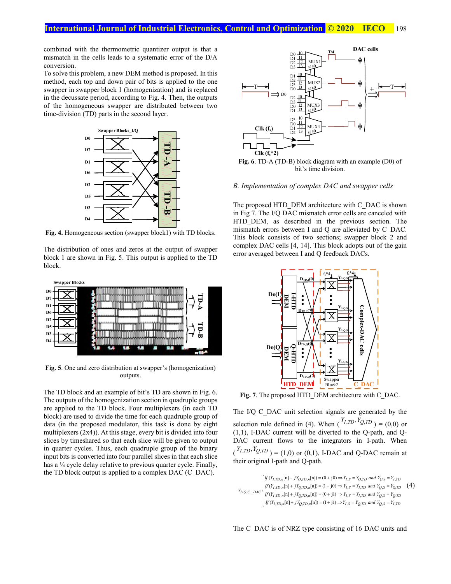combined with the thermometric quantizer output is that a mismatch in the cells leads to a systematic error of the D/A conversion.

To solve this problem, a new DEM method is proposed. In this method, each top and down pair of bits is applied to the one swapper in swapper block 1 (homogenization) and is replaced in the decussate period, according to Fig. 4. Then, the outputs of the homogeneous swapper are distributed between two time-division (TD) parts in the second layer.



**Fig. 4.** Homogeneous section (swapper block1) with TD blocks.

The distribution of ones and zeros at the output of swapper block 1 are shown in Fig. 5. This output is applied to the TD block.



**Fig. 5**. One and zero distribution at swapper's (homogenization) outputs.

The TD block and an example of bit's TD are shown in Fig. 6. The outputs of the homogenization section in quadruple groups are applied to the TD block. Four multiplexers (in each TD block) are used to divide the time for each quadruple group of data (in the proposed modulator, this task is done by eight multiplexers (2x4)). At this stage, every bit is divided into four slices by timeshared so that each slice will be given to output in quarter cycles. Thus, each quadruple group of the binary input bits is converted into four parallel slices in that each slice has a <sup>1</sup>/4 cycle delay relative to previous quarter cycle. Finally, the TD block output is applied to a complex DAC (C\_DAC).



bit's time division.

#### *B. Implementation of complex DAC and swapper cells*

The proposed HTD\_DEM architecture with C\_DAC is shown in Fig 7. The I/Q DAC mismatch error cells are canceled with HTD DEM, as described in the previous section. The mismatch errors between I and Q are alleviated by C\_DAC. This block consists of two sections; swapper block 2 and complex DAC cells [4, 14]. This block adopts out of the gain error averaged between I and Q feedback DACs.



Fig. 7. The proposed HTD\_DEM architecture with C\_DAC.

The I/Q C\_DAC unit selection signals are generated by the selection rule defined in (4). When  $\binom{Y_{I, TD}, Y_{Q, TD}}{Y_{I, ID}} = (0.0)$  or (1,1), I-DAC current will be diverted to the Q-path, and Q-DAC current flows to the integrators in I-path. When  $({}^{Y_I,TD}, {}^{Y_Q,TD}) = (1,0)$  or (0,1), I-DAC and Q-DAC remain at their original I-path and Q-path.

$$
Y_{I/Q,C\_DAC} \begin{cases} \nIf \left(Y_{I,TD,n}[n] + jY_{Q,TD,n}[n]\right) = (0 + j0) \Rightarrow Y_{I,S} = Y_{Q,TD} \text{ and } Y_{Q,S} = Y_{I,TD} \\
\text{If } \left(Y_{I,TD,n}[n] + jY_{Q,TD,n}[n]\right) = (1 + j0) \Rightarrow Y_{I,S} = Y_{I,TD} \text{ and } Y_{Q,S} = Y_{Q,TD} \\
\text{If } \left(Y_{I,TD,n}[n] + jY_{Q,TD,n}[n]\right) = (0 + j1) \Rightarrow Y_{I,S} = Y_{I,TD} \text{ and } Y_{Q,S} = Y_{Q,TD} \\
\text{If } \left(Y_{I,TD,n}[n] + jY_{Q,TD,n}[n]\right) = (1 + j1) \Rightarrow Y_{I,S} = Y_{Q,TD} \text{ and } Y_{Q,S} = Y_{I,TD} \n\end{cases}
$$

The C\_DAC is of NRZ type consisting of 16 DAC units and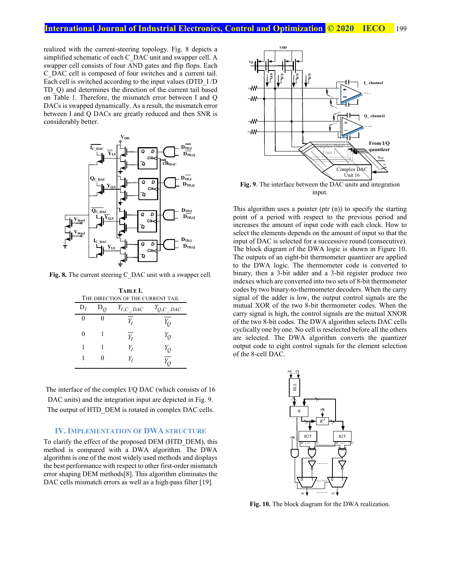realized with the current-steering topology. Fig. 8 depicts a simplified schematic of each C\_DAC unit and swapper cell. A swapper cell consists of four AND gates and flip flops. Each C\_DAC cell is composed of four switches and a current tail. Each cell is switched according to the input values (DTD\_I /D TD\_Q) and determines the direction of the current tail based on Table 1. Therefore, the mismatch error between I and Q DACs is swapped dynamically. As a result, the mismatch error between I and Q DACs are greatly reduced and then SNR is considerably better.



Fig. 8. The current steering C\_DAC unit with a swapper cell.

| TABLE I.<br>THE DIRECTION OF THE CURRENT TAIL |         |                 |                 |  |  |  |  |  |
|-----------------------------------------------|---------|-----------------|-----------------|--|--|--|--|--|
| $D_I$                                         | $D_{O}$ | $Y_{I,C}\_$ DAC | $Y_{Q,C}\_$ DAC |  |  |  |  |  |
|                                               |         | $Y_I$           | Y <sub>O</sub>  |  |  |  |  |  |
| 0                                             |         | $Y_I$           | $Y_{O}$         |  |  |  |  |  |
|                                               |         | Υ,              | $Y_{O}$         |  |  |  |  |  |
|                                               |         | Y,              |                 |  |  |  |  |  |

The interface of the complex I/Q DAC (which consists of 16 DAC units) and the integration input are depicted in Fig. 9. The output of HTD DEM is rotated in complex DAC cells.

## **IV. IMPLEMENTATION OF DWA STRUCTURE**

To clarify the effect of the proposed DEM (HTD\_DEM), this method is compared with a DWA algorithm. The DWA algorithm is one of the most widely used methods and displays the best performance with respect to other first-order mismatch error shaping DEM methods[8]. This algorithm eliminates the DAC cells mismatch errors as well as a high-pass filter [19].



**Fig. 9**. The interface between the DAC units and integration input.

This algorithm uses a pointer (ptr (n)) to specify the starting point of a period with respect to the previous period and increases the amount of input code with each clock. How to select the elements depends on the amount of input so that the input of DAC is selected for a successive round (consecutive). The block diagram of the DWA logic is shown in Figure 10. The outputs of an eight-bit thermometer quantizer are applied to the DWA logic. The thermometer code is converted to binary, then a 3-bit adder and a 3-bit register produce two indexes which are converted into two sets of 8-bit thermometer codes by two binary-to-thermometer decoders. When the carry signal of the adder is low, the output control signals are the mutual XOR of the two 8-bit thermometer codes. When the carry signal is high, the control signals are the mutual XNOR of the two 8-bit codes. The DWA algorithm selects DAC cells cyclically one by one. No cell is reselected before all the others are selected. The DWA algorithm converts the quantizer output code to eight control signals for the element selection of the 8-cell DAC.



**Fig. 10.** The block diagram for the DWA realization.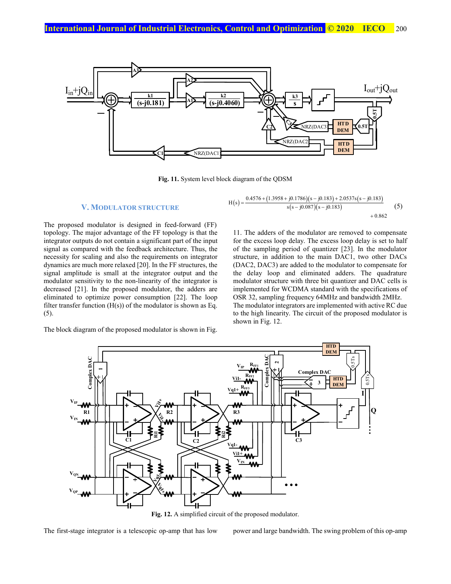

**Fig. 11.** System level block diagram of the QDSM

#### **V. MODULATOR STRUCTURE**

The proposed modulator is designed in feed-forward (FF) topology. The major advantage of the FF topology is that the integrator outputs do not contain a significant part of the input signal as compared with the feedback architecture. Thus, the necessity for scaling and also the requirements on integrator dynamics are much more relaxed [20]. In the FF structures, the signal amplitude is small at the integrator output and the modulator sensitivity to the non-linearity of the integrator is decreased [21]. In the proposed modulator, the adders are eliminated to optimize power consumption [22]. The loop filter transfer function  $(H(s))$  of the modulator is shown as Eq. (5).



$$
H(s) = \frac{0.4576 + (1.3958 + j0.1786)(s - j0.183) + 2.0537s(s - j0.183)}{s(s - j0.087)(s - j0.183)} + 0.862
$$
 (5)

11. The adders of the modulator are removed to compensate for the excess loop delay. The excess loop delay is set to half of the sampling period of quantizer [23]. In the modulator structure, in addition to the main DAC1, two other DACs (DAC2, DAC3) are added to the modulator to compensate for the delay loop and eliminated adders. The quadrature modulator structure with three bit quantizer and DAC cells is implemented for WCDMA standard with the specifications of OSR 32, sampling frequency 64MHz and bandwidth 2MHz. The modulator integrators are implemented with active RC due to the high linearity. The circuit of the proposed modulator is shown in Fig. 12.



**Fig. 12.** A simplified circuit of the proposed modulator.

The first-stage integrator is a telescopic op-amp that has low power and large bandwidth. The swing problem of this op-amp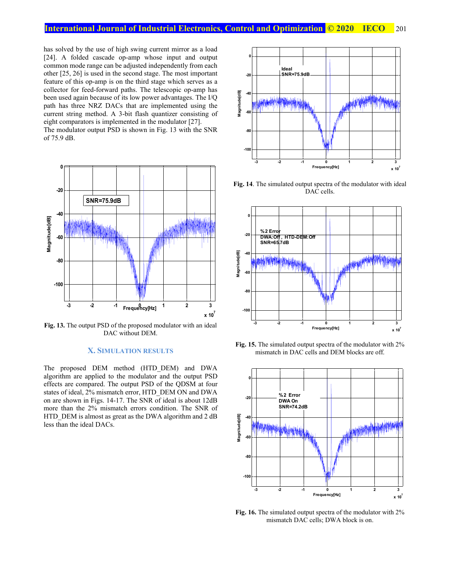has solved by the use of high swing current mirror as a load [24]. A folded cascade op-amp whose input and output common mode range can be adjusted independently from each other [25, 26] is used in the second stage. The most important feature of this op-amp is on the third stage which serves as a collector for feed-forward paths. The telescopic op-amp has been used again because of its low power advantages. The I/Q path has three NRZ DACs that are implemented using the current string method. A 3-bit flash quantizer consisting of eight comparators is implemented in the modulator [27]. The modulator output PSD is shown in Fig. 13 with the SNR of 75.9 dB.



**Fig. 13.** The output PSD of the proposed modulator with an ideal DAC without DEM.

## **X. SIMULATION RESULTS**

The proposed DEM method (HTD\_DEM) and DWA algorithm are applied to the modulator and the output PSD effects are compared. The output PSD of the QDSM at four states of ideal, 2% mismatch error, HTD\_DEM ON and DWA on are shown in Figs. 14-17. The SNR of ideal is about 12dB more than the 2% mismatch errors condition. The SNR of HTD DEM is almost as great as the DWA algorithm and 2 dB less than the ideal DACs.



**Fig. 14**. The simulated output spectra of the modulator with ideal DAC cells.



**Fig. 15.** The simulated output spectra of the modulator with 2% mismatch in DAC cells and DEM blocks are off.



**Fig. 16.** The simulated output spectra of the modulator with 2% mismatch DAC cells; DWA block is on.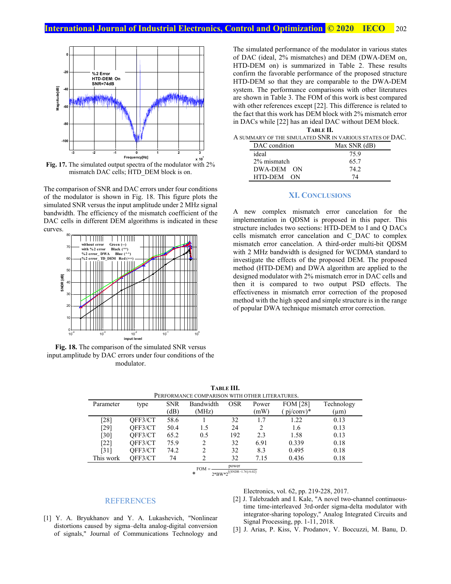

**Fig. 17.** The simulated output spectra of the modulator with 2% mismatch DAC cells; HTD\_DEM block is on.

The comparison of SNR and DAC errors under four conditions of the modulator is shown in Fig. 18. This figure plots the simulated SNR versus the input amplitude under 2 MHz signal bandwidth. The efficiency of the mismatch coefficient of the DAC cells in different DEM algorithms is indicated in these curves.



**Fig. 18.** The comparison of the simulated SNR versus input.amplitude by DAC errors under four conditions of the modulator.

The simulated performance of the modulator in various states of DAC (ideal, 2% mismatches) and DEM (DWA-DEM on, HTD-DEM on) is summarized in Table 2. These results confirm the favorable performance of the proposed structure HTD-DEM so that they are comparable to the DWA-DEM system. The performance comparisons with other literatures are shown in Table 3. The FOM of this work is best compared with other references except [22]. This difference is related to the fact that this work has DEM block with 2% mismatch error in DACs while [22] has an ideal DAC without DEM block. **TABLE II.**

|                                                          | .            |  |  |  |  |  |
|----------------------------------------------------------|--------------|--|--|--|--|--|
| A SUMMARY OF THE SIMULATED SNR IN VARIOUS STATES OF DAC. |              |  |  |  |  |  |
| DAC condition                                            | Max SNR (dB) |  |  |  |  |  |
| ideal                                                    | 75.9         |  |  |  |  |  |
| 2% mismatch                                              | 65.7         |  |  |  |  |  |
| DWA-DEM ON                                               | 74 J         |  |  |  |  |  |

#### **XI. CONCLUSIONS**

HTD-DEM ON 74

A new complex mismatch error cancelation for the implementation in QDSM is proposed in this paper. This structure includes two sections: HTD-DEM to I and Q DACs cells mismatch error cancelation and C\_DAC to complex mismatch error cancelation. A third-order multi-bit QDSM with 2 MHz bandwidth is designed for WCDMA standard to investigate the effects of the proposed DEM. The proposed method (HTD-DEM) and DWA algorithm are applied to the designed modulator with 2% mismatch error in DAC cells and then it is compared to two output PSD effects. The effectiveness in mismatch error correction of the proposed method with the high speed and simple structure is in the range of popular DWA technique mismatch error correction.

**TABLE III.**  PERFORMANCE COMPARISON WITH OTHER LITERATURES.

| PERFORMANCE COMPARISON WITH OTHER LITERATURES. |         |            |                             |            |       |                 |            |  |  |
|------------------------------------------------|---------|------------|-----------------------------|------------|-------|-----------------|------------|--|--|
| Parameter                                      | type    | <b>SNR</b> | Bandwidth                   | <b>OSR</b> | Power | <b>FOM [28]</b> | Technology |  |  |
|                                                |         | (dB)       | (MHz)                       |            | (mW)  | $pi/cony)*$     | $\mu$ m)   |  |  |
| [28]                                           | OFF3/CT | 58.6       |                             | 32         | 1.7   | 1.22            | 0.13       |  |  |
| [29]                                           | OFF3/CT | 50.4       | 1.5                         | 24         |       | 1.6             | 0.13       |  |  |
| [30]                                           | OFF3/CT | 65.2       | 0.5                         | 192        | 2.3   | 1.58            | 0.13       |  |  |
| $[22]$                                         | OFF3/CT | 75.9       | $\mathcal{D}_{\mathcal{A}}$ | 32         | 6.91  | 0.339           | 0.18       |  |  |
| [31]                                           | OFF3/CT | 74.2       | $\mathfrak{D}$              | 32         | 8.3   | 0.495           | 0.18       |  |  |
| This work                                      | OFF3/CT | 74         |                             | 32         | 7.15  | 0.436           | 0.18       |  |  |
|                                                |         |            |                             |            |       |                 |            |  |  |

$$
FOM = \frac{power}{2*BW * 2^{((SNDR - 1.76)/6.02)}}
$$

#### Electronics, vol. 62, pp. 219-228, 2017.

- [2] J. Talebzadeh and I. Kale, "A novel two-channel continuoustime time-interleaved 3rd-order sigma-delta modulator with integrator-sharing topology," Analog Integrated Circuits and Signal Processing, pp. 1-11, 2018.
- [1] Y. A. Bryukhanov and Y. A. Lukashevich, "Nonlinear distortions caused by sigma-delta analog-digital conversion of signals," Journal of Communications Technology and

REFERENCES

[3] J. Arias, P. Kiss, V. Prodanov, V. Boccuzzi, M. Banu, D.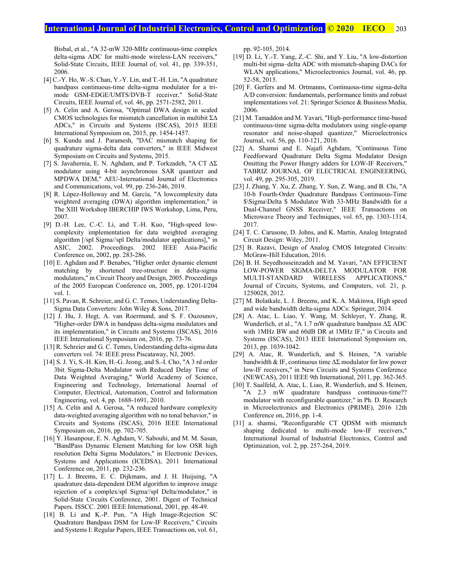# **International Journal of Industrial Electronics, Control and Optimization © 2020 IECO** 203

Bisbal, et al., "A 32-mW 320-MHz continuous-time complex delta-sigma ADC for multi-mode wireless-LAN receivers," Solid-State Circuits, IEEE Journal of, vol. 41, pp. 339-351, 2006.

- [4] C.-Y. Ho, W.-S. Chan, Y.-Y. Lin, and T.-H. Lin, "A quadrature bandpass continuous-time delta-sigma modulator for a trimode GSM-EDGE/UMTS/DVB-T receiver," Solid-State Circuits, IEEE Journal of, vol. 46, pp. 2571-2582, 2011.
- [5] A. Celin and A. Gerosa, "Optimal DWA design in scaled CMOS technologies for mismatch cancellation in multibit ΣΔ ADCs," in Circuits and Systems (ISCAS), 2015 IEEE International Symposium on, 2015, pp. 1454-1457.
- [6] S. Kundu and J. Paramesh, "DAC mismatch shaping for quadrature sigma-delta data converters," in IEEE Midwest Symposium on Circuits and Systems, 2015.
- [7] S. Javahernia, E. N. Aghdam, and P. Torkzadeh, "A CT ΔΣ modulator using 4-bit asynchronous SAR quantizer and MPDWA DEM," AEU-International Journal of Electronics and Communications, vol. 99, pp. 236-246, 2019.
- [8] R. López-Holloway and M. García, "A lowcomplexity data weighterd averaging (DWA) algorithm implementation," in The XIII Workshop IBERCHIP IWS Workshop, Lima, Peru, 2007.
- [9] D.-H. Lee, C.-C. Li, and T.-H. Kuo, "High-speed lowcomplexity implementation for data weighted averaging algorithm [/spl Sigma//spl Delta/modulator applications]," in ASIC, 2002. Proceedings. 2002 IEEE Asia-Pacific Conference on, 2002, pp. 283-286.
- [10] E. Aghdam and P. Benabes, "Higher order dynamic element matching by shortened tree-structure in delta-sigma modulators," in Circuit Theory and Design, 2005. Proceedings of the 2005 European Conference on, 2005, pp. I/201-I/204 vol. 1.
- [11] S. Pavan, R. Schreier, and G. C. Temes, Understanding Delta-Sigma Data Converters: John Wiley & Sons, 2017.
- [12] J. Hu, J. Hegt, A. van Roermund, and S. F. Ouzounov, "Higher-order DWA in bandpass delta-sigma modulators and its implementation," in Circuits and Systems (ISCAS), 2016 IEEE International Symposium on, 2016, pp. 73-76.
- [13] R. Schreier and G. C. Temes, Understanding delta-sigma data converters vol. 74: IEEE press Piscataway, NJ, 2005.
- [14] S. J. Yi, S.-H. Kim, H.-G. Jeong, and S.-I. Cho, "A 3 rd order 3bit Sigma-Delta Modulator with Reduced Delay Time of Data Weighted Averaging," World Academy of Science, Engineering and Technology, International Journal of Computer, Electrical, Automation, Control and Information Engineering, vol. 4, pp. 1688-1691, 2010.
- [15] A. Celin and A. Gerosa, "A reduced hardware complexity data-weighted averaging algorithm with no tonal behavior," in Circuits and Systems (ISCAS), 2016 IEEE International Symposium on, 2016, pp. 702-705.
- [16] Y. Hasanpour, E. N. Aghdam, V. Sabouhi, and M. M. Sasan, "BandPass Dynamic Element Matching for low OSR high resolution Delta Sigma Modulators," in Electronic Devices, Systems and Applications (ICEDSA), 2011 International Conference on, 2011, pp. 232-236.
- [17] L. J. Breems, E. C. Dijkmans, and J. H. Huijsing, "A quadrature data-dependent DEM algorithm to improve image rejection of a complex/spl Sigma//spl Delta/modulator," in Solid-State Circuits Conference, 2001. Digest of Technical Papers. ISSCC. 2001 IEEE International, 2001, pp. 48-49.
- [18] B. Li and K.-P. Pun, "A High Image-Rejection SC Quadrature Bandpass DSM for Low-IF Receivers," Circuits and Systems I: Regular Papers, IEEE Transactions on, vol. 61,

pp. 92-105, 2014.

- [19] D. Li, Y.-T. Yang, Z.-C. Shi, and Y. Liu, "A low-distortion multi-bit sigma–delta ADC with mismatch-shaping DACs for WLAN applications," Microelectronics Journal, vol. 46, pp. 52-58, 2015.
- [20] F. Gerfers and M. Ortmanns, Continuous-time sigma-delta A/D conversion: fundamentals, performance limits and robust implementations vol. 21: Springer Science & Business Media, 2006.
- [21] M. Tamaddon and M. Yavari, "High-performance time-based continuous-time sigma-delta modulators using single-opamp resonator and noise-shaped quantizer," Microelectronics Journal, vol. 56, pp. 110-121, 2016.
- [22] A. Shamsi and E. Najafi Aghdam, "Continuous Time Feedforward Quadrature Delta Sigma Modulator Design Omitting the Power Hungry adders for LOW-IF Receivers," TABRIZ JOURNAL OF ELECTRICAL ENGINEERING, vol. 49, pp. 295-305, 2019.
- [23] J. Zhang, Y. Xu, Z. Zhang, Y. Sun, Z. Wang, and B. Chi, "A 10-b Fourth-Order Quadrature Bandpass Continuous-Time \$\Sigma\Delta \$ Modulator With 33-MHz Bandwidth for a Dual-Channel GNSS Receiver," IEEE Transactions on Microwave Theory and Techniques, vol. 65, pp. 1303-1314, 2017.
- [24] T. C. Carusone, D. Johns, and K. Martin, Analog Integrated Circuit Design: Wiley, 2011.
- [25] B. Razavi, Design of Analog CMOS Integrated Circuits: McGraw-Hill Education, 2016.
- [26] B. H. Seyedhosseinzadeh and M. Yavari, "AN EFFICIENT LOW-POWER SIGMA-DELTA MODULATOR FOR MULTI-STANDARD WIRELESS APPLICATIONS," Journal of Circuits, Systems, and Computers, vol. 21, p. 1250028, 2012.
- [27] M. Bolatkale, L. J. Breems, and K. A. Makinwa, High speed and wide bandwidth delta-sigma ADCs: Springer, 2014.
- [28] A. Atac, L. Liao, Y. Wang, M. Schleyer, Y. Zhang, R. Wunderlich, et al., "A 1.7 mW quadrature bandpass ΔΣ ADC with 1MHz BW and 60dB DR at 1MHz IF," in Circuits and Systems (ISCAS), 2013 IEEE International Symposium on, 2013, pp. 1039-1042.
- [29] A. Atac, R. Wunderlich, and S. Heinen, "A variable bandwidth & IF, continuous time  $\Delta\Sigma$  modulator for low power low-IF receivers," in New Circuits and Systems Conference (NEWCAS), 2011 IEEE 9th International, 2011, pp. 362-365.
- [30] T. Saalfeld, A. Atac, L. Liao, R. Wunderlich, and S. Heinen, "A 2.3 mW quadrature bandpass continuous-time?? modulator with reconfigurable quantizer," in Ph. D. Research in Microelectronics and Electronics (PRIME), 2016 12th Conference on, 2016, pp. 1-4.
- [31] a. shamsi, "Reconfigurable CT QDSM with mismatch shaping dedicated to multi-mode low-IF receivers," International Journal of Industrial Electronics, Control and Optimization, vol. 2, pp. 257-264, 2019.